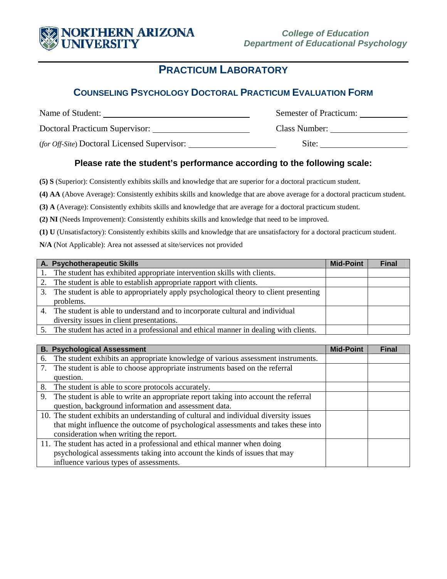

# **PRACTICUM LABORATORY**

### **COUNSELING PSYCHOLOGY DOCTORAL PRACTICUM EVALUATION FORM**

| Name of Student:                             | Semester of Practicum: |  |
|----------------------------------------------|------------------------|--|
| Doctoral Practicum Supervisor:               | Class Number:          |  |
| (for Off-Site) Doctoral Licensed Supervisor: | Site:                  |  |

### **Please rate the student's performance according to the following scale:**

**(5) S** (Superior): Consistently exhibits skills and knowledge that are superior for a doctoral practicum student.

**(4) AA** (Above Average): Consistently exhibits skills and knowledge that are above average for a doctoral practicum student.

**(3) A** (Average): Consistently exhibits skills and knowledge that are average for a doctoral practicum student.

**(2) NI** (Needs Improvement): Consistently exhibits skills and knowledge that need to be improved.

**(1) U** (Unsatisfactory): Consistently exhibits skills and knowledge that are unsatisfactory for a doctoral practicum student.

**N/A** (Not Applicable): Area not assessed at site/services not provided

| A. Psychotherapeutic Skills                                                             | <b>Mid-Point</b> | <b>Final</b> |
|-----------------------------------------------------------------------------------------|------------------|--------------|
| 1. The student has exhibited appropriate intervention skills with clients.              |                  |              |
| 2. The student is able to establish appropriate rapport with clients.                   |                  |              |
| 3. The student is able to appropriately apply psychological theory to client presenting |                  |              |
| problems.                                                                               |                  |              |
| 4. The student is able to understand and to incorporate cultural and individual         |                  |              |
| diversity issues in client presentations.                                               |                  |              |
| 5. The student has acted in a professional and ethical manner in dealing with clients.  |                  |              |

|    | <b>B. Psychological Assessment</b>                                                    | <b>Mid-Point</b> | <b>Final</b> |
|----|---------------------------------------------------------------------------------------|------------------|--------------|
| 6. | The student exhibits an appropriate knowledge of various assessment instruments.      |                  |              |
| 7. | The student is able to choose appropriate instruments based on the referral           |                  |              |
|    | question.                                                                             |                  |              |
| 8. | The student is able to score protocols accurately.                                    |                  |              |
| 9. | The student is able to write an appropriate report taking into account the referral   |                  |              |
|    | question, background information and assessment data.                                 |                  |              |
|    | 10. The student exhibits an understanding of cultural and individual diversity issues |                  |              |
|    | that might influence the outcome of psychological assessments and takes these into    |                  |              |
|    | consideration when writing the report.                                                |                  |              |
|    | 11. The student has acted in a professional and ethical manner when doing             |                  |              |
|    | psychological assessments taking into account the kinds of issues that may            |                  |              |
|    | influence various types of assessments.                                               |                  |              |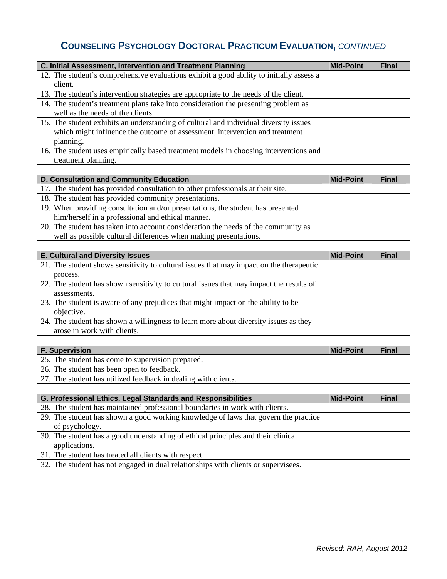# **COUNSELING PSYCHOLOGY DOCTORAL PRACTICUM EVALUATION,** *CONTINUED*

| C. Initial Assessment, Intervention and Treatment Planning                               | <b>Mid-Point</b> | <b>Final</b> |
|------------------------------------------------------------------------------------------|------------------|--------------|
| 12. The student's comprehensive evaluations exhibit a good ability to initially assess a |                  |              |
| client.                                                                                  |                  |              |
| 13. The student's intervention strategies are appropriate to the needs of the client.    |                  |              |
| 14. The student's treatment plans take into consideration the presenting problem as      |                  |              |
| well as the needs of the clients.                                                        |                  |              |
| 15. The student exhibits an understanding of cultural and individual diversity issues    |                  |              |
| which might influence the outcome of assessment, intervention and treatment              |                  |              |
| planning.                                                                                |                  |              |
| 16. The student uses empirically based treatment models in choosing interventions and    |                  |              |
| treatment planning.                                                                      |                  |              |

| D. Consultation and Community Education                                            | <b>Mid-Point</b> | <b>Final</b> |
|------------------------------------------------------------------------------------|------------------|--------------|
| 17. The student has provided consultation to other professionals at their site.    |                  |              |
| 18. The student has provided community presentations.                              |                  |              |
| 19. When providing consultation and/or presentations, the student has presented    |                  |              |
| him/herself in a professional and ethical manner.                                  |                  |              |
| 20. The student has taken into account consideration the needs of the community as |                  |              |
| well as possible cultural differences when making presentations.                   |                  |              |

| <b>E. Cultural and Diversity Issues</b>                                                 | <b>Mid-Point</b> | <b>Final</b> |
|-----------------------------------------------------------------------------------------|------------------|--------------|
| 21. The student shows sensitivity to cultural issues that may impact on the therapeutic |                  |              |
| process.                                                                                |                  |              |
| 22. The student has shown sensitivity to cultural issues that may impact the results of |                  |              |
| assessments.                                                                            |                  |              |
| 23. The student is aware of any prejudices that might impact on the ability to be       |                  |              |
| objective.                                                                              |                  |              |
| 24. The student has shown a willingness to learn more about diversity issues as they    |                  |              |
| arose in work with clients.                                                             |                  |              |

| <b>F. Supervision</b>                                          | <b>Mid-Point</b> | <b>Final</b> |
|----------------------------------------------------------------|------------------|--------------|
| 25. The student has come to supervision prepared.              |                  |              |
| 26. The student has been open to feedback.                     |                  |              |
| 27. The student has utilized feedback in dealing with clients. |                  |              |

| G. Professional Ethics, Legal Standards and Responsibilities                        |  | <b>Final</b> |
|-------------------------------------------------------------------------------------|--|--------------|
| 28. The student has maintained professional boundaries in work with clients.        |  |              |
| 29. The student has shown a good working knowledge of laws that govern the practice |  |              |
| of psychology.                                                                      |  |              |
| 30. The student has a good understanding of ethical principles and their clinical   |  |              |
| applications.                                                                       |  |              |
| 31. The student has treated all clients with respect.                               |  |              |
| 32. The student has not engaged in dual relationships with clients or supervisees.  |  |              |